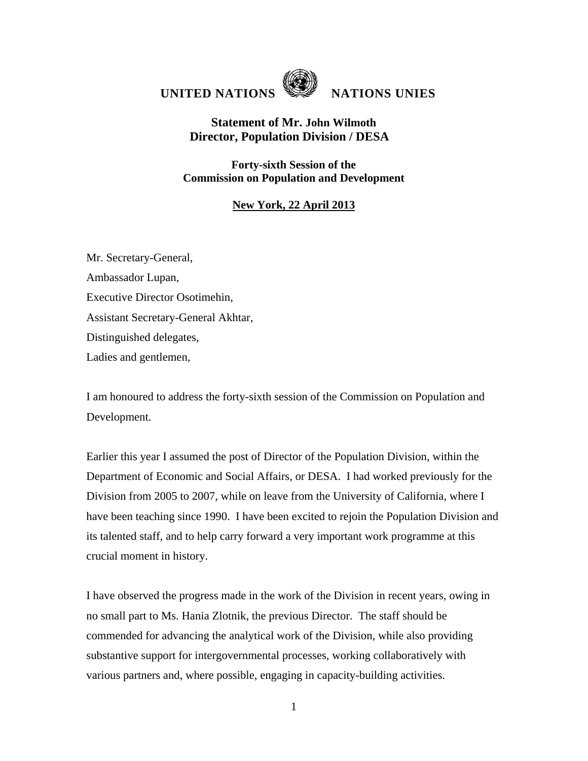

## **UNITED NATIONS NATIONS UNIES**

## **Statement of Mr. John Wilmoth Director, Population Division / DESA**

**Forty-sixth Session of the Commission on Population and Development** 

## **New York, 22 April 2013**

Mr. Secretary-General, Ambassador Lupan, Executive Director Osotimehin, Assistant Secretary-General Akhtar, Distinguished delegates, Ladies and gentlemen,

I am honoured to address the forty-sixth session of the Commission on Population and Development.

Earlier this year I assumed the post of Director of the Population Division, within the Department of Economic and Social Affairs, or DESA. I had worked previously for the Division from 2005 to 2007, while on leave from the University of California, where I have been teaching since 1990. I have been excited to rejoin the Population Division and its talented staff, and to help carry forward a very important work programme at this crucial moment in history.

I have observed the progress made in the work of the Division in recent years, owing in no small part to Ms. Hania Zlotnik, the previous Director. The staff should be commended for advancing the analytical work of the Division, while also providing substantive support for intergovernmental processes, working collaboratively with various partners and, where possible, engaging in capacity-building activities.

1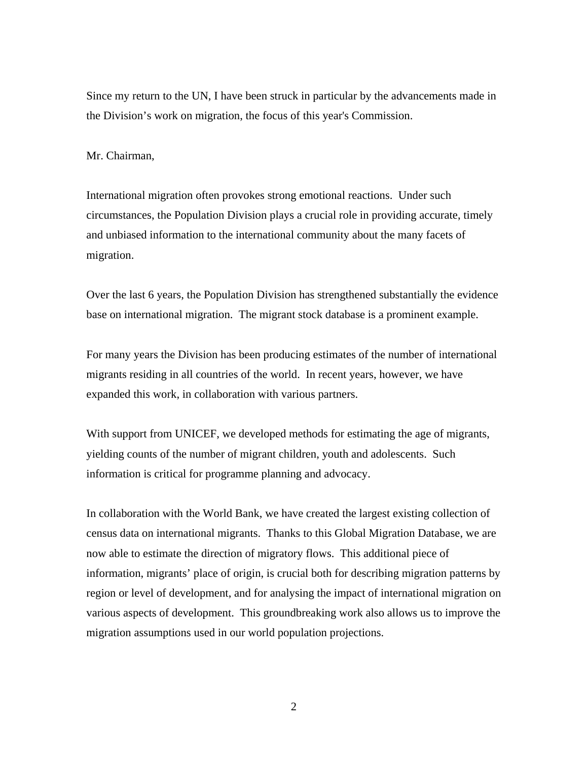Since my return to the UN, I have been struck in particular by the advancements made in the Division's work on migration, the focus of this year's Commission.

## Mr. Chairman,

International migration often provokes strong emotional reactions. Under such circumstances, the Population Division plays a crucial role in providing accurate, timely and unbiased information to the international community about the many facets of migration.

Over the last 6 years, the Population Division has strengthened substantially the evidence base on international migration. The migrant stock database is a prominent example.

For many years the Division has been producing estimates of the number of international migrants residing in all countries of the world. In recent years, however, we have expanded this work, in collaboration with various partners.

With support from UNICEF, we developed methods for estimating the age of migrants, yielding counts of the number of migrant children, youth and adolescents. Such information is critical for programme planning and advocacy.

In collaboration with the World Bank, we have created the largest existing collection of census data on international migrants. Thanks to this Global Migration Database, we are now able to estimate the direction of migratory flows. This additional piece of information, migrants' place of origin, is crucial both for describing migration patterns by region or level of development, and for analysing the impact of international migration on various aspects of development. This groundbreaking work also allows us to improve the migration assumptions used in our world population projections.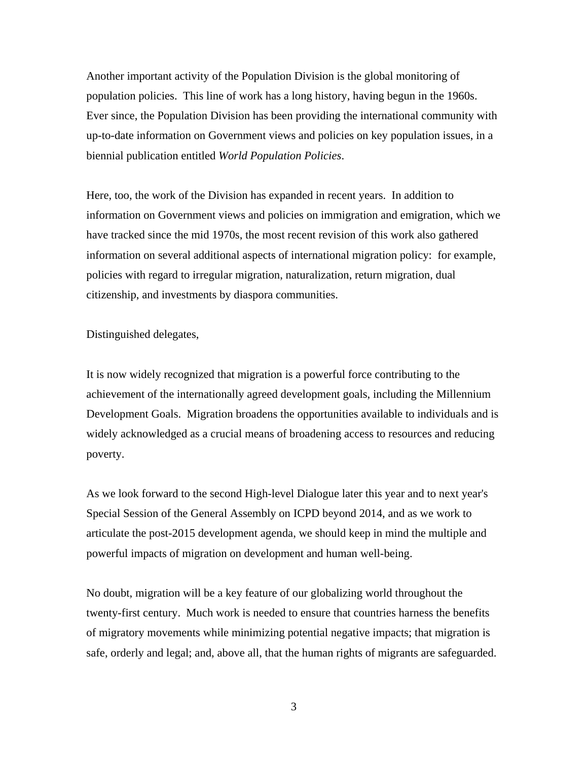Another important activity of the Population Division is the global monitoring of population policies. This line of work has a long history, having begun in the 1960s. Ever since, the Population Division has been providing the international community with up-to-date information on Government views and policies on key population issues, in a biennial publication entitled *World Population Policies*.

Here, too, the work of the Division has expanded in recent years. In addition to information on Government views and policies on immigration and emigration, which we have tracked since the mid 1970s, the most recent revision of this work also gathered information on several additional aspects of international migration policy: for example, policies with regard to irregular migration, naturalization, return migration, dual citizenship, and investments by diaspora communities.

Distinguished delegates,

It is now widely recognized that migration is a powerful force contributing to the achievement of the internationally agreed development goals, including the Millennium Development Goals. Migration broadens the opportunities available to individuals and is widely acknowledged as a crucial means of broadening access to resources and reducing poverty.

As we look forward to the second High-level Dialogue later this year and to next year's Special Session of the General Assembly on ICPD beyond 2014, and as we work to articulate the post-2015 development agenda, we should keep in mind the multiple and powerful impacts of migration on development and human well-being.

No doubt, migration will be a key feature of our globalizing world throughout the twenty-first century. Much work is needed to ensure that countries harness the benefits of migratory movements while minimizing potential negative impacts; that migration is safe, orderly and legal; and, above all, that the human rights of migrants are safeguarded.

3